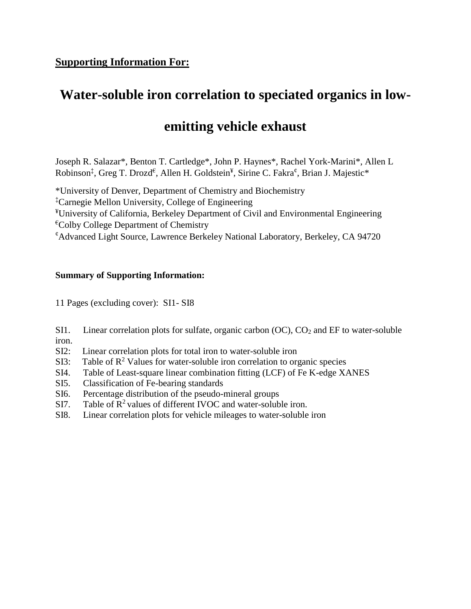## **Water-soluble iron correlation to speciated organics in low-**

## **emitting vehicle exhaust**

Joseph R. Salazar\*, Benton T. Cartledge\*, John P. Haynes\*, Rachel York-Marini\*, Allen L Robinson<sup>‡</sup>, Greg T. Drozd<sup>€</sup>, Allen H. Goldstein<sup>¥</sup>, Sirine C. Fakra<sup>¢</sup>, Brian J. Majestic\*

\*University of Denver, Department of Chemistry and Biochemistry ‡Carnegie Mellon University, College of Engineering ¥University of California, Berkeley Department of Civil and Environmental Engineering  ${}^{\epsilon}$ Colby College Department of Chemistry ¢Advanced Light Source, Lawrence Berkeley National Laboratory, Berkeley, CA 94720

## **Summary of Supporting Information:**

11 Pages (excluding cover): SI1- SI8

- SI1. Linear correlation plots for sulfate, organic carbon  $(OC)$ ,  $CO<sub>2</sub>$  and EF to water-soluble iron.
- SI2: Linear correlation plots for total iron to water-soluble iron
- SI3: Table of  $\mathbb{R}^2$  Values for water-soluble iron correlation to organic species
- SI4. Table of Least-square linear combination fitting (LCF) of Fe K-edge XANES
- SI5. Classification of Fe-bearing standards
- SI6. Percentage distribution of the pseudo-mineral groups
- SI7. Table of  $R^2$  values of different IVOC and water-soluble iron.
- SI8. Linear correlation plots for vehicle mileages to water-soluble iron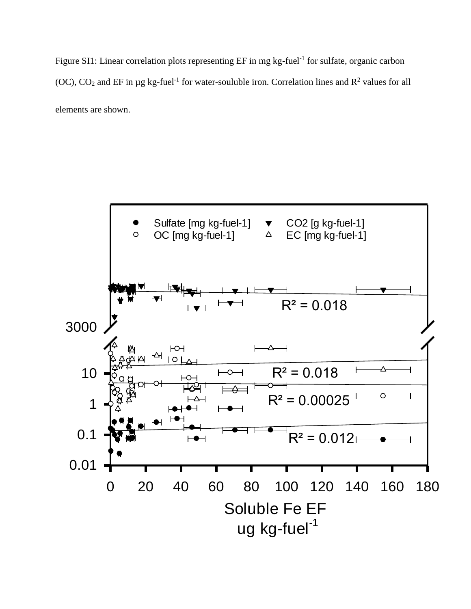Figure SI1: Linear correlation plots representing EF in mg kg-fuel<sup>-1</sup> for sulfate, organic carbon (OC),  $CO_2$  and EF in µg kg-fuel<sup>-1</sup> for water-souluble iron. Correlation lines and  $R^2$  values for all elements are shown.

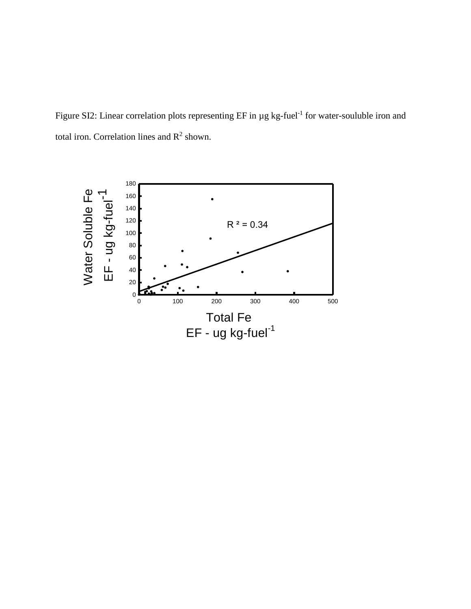Figure SI2: Linear correlation plots representing  $EF$  in  $\mu$ g kg-fuel<sup>-1</sup> for water-souluble iron and total iron. Correlation lines and  $R^2$  shown.

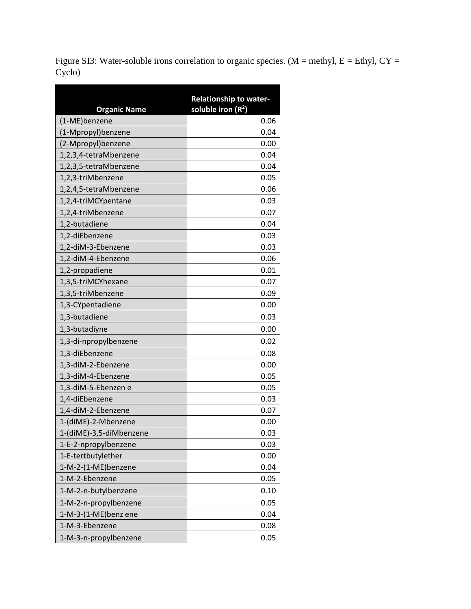Figure SI3: Water-soluble irons correlation to organic species. (M = methyl, E = Ethyl, CY = Cyclo)

| <b>Organic Name</b>     | <b>Relationship to water-</b><br>soluble iron $(R^2)$ |
|-------------------------|-------------------------------------------------------|
| (1-ME)benzene           | 0.06                                                  |
| (1-Mpropyl)benzene      | 0.04                                                  |
| (2-Mpropyl)benzene      | 0.00                                                  |
| 1,2,3,4-tetraMbenzene   | 0.04                                                  |
| 1,2,3,5-tetraMbenzene   | 0.04                                                  |
| 1,2,3-triMbenzene       | 0.05                                                  |
| 1,2,4,5-tetraMbenzene   | 0.06                                                  |
| 1,2,4-triMCYpentane     | 0.03                                                  |
| 1,2,4-triMbenzene       | 0.07                                                  |
| 1,2-butadiene           | 0.04                                                  |
| 1,2-diEbenzene          | 0.03                                                  |
| 1,2-diM-3-Ebenzene      | 0.03                                                  |
| 1,2-diM-4-Ebenzene      | 0.06                                                  |
| 1,2-propadiene          | 0.01                                                  |
| 1,3,5-triMCYhexane      | 0.07                                                  |
| 1,3,5-triMbenzene       | 0.09                                                  |
| 1,3-CYpentadiene        | 0.00                                                  |
| 1,3-butadiene           | 0.03                                                  |
| 1,3-butadiyne           | 0.00                                                  |
| 1,3-di-npropylbenzene   | 0.02                                                  |
| 1,3-diEbenzene          | 0.08                                                  |
| 1,3-diM-2-Ebenzene      | 0.00                                                  |
| 1,3-diM-4-Ebenzene      | 0.05                                                  |
| 1,3-diM-5-Ebenzen e     | 0.05                                                  |
| 1,4-diEbenzene          | 0.03                                                  |
| 1,4-diM-2-Ebenzene      | 0.07                                                  |
| 1-(diME)-2-Mbenzene     | 0.00                                                  |
| 1-(diME)-3,5-diMbenzene | 0.03                                                  |
| 1-E-2-npropylbenzene    | 0.03                                                  |
| 1-E-tertbutylether      | 0.00                                                  |
| 1-M-2-(1-ME)benzene     | 0.04                                                  |
| 1-M-2-Ebenzene          | 0.05                                                  |
| 1-M-2-n-butylbenzene    | 0.10                                                  |
| 1-M-2-n-propylbenzene   | 0.05                                                  |
| 1-M-3-(1-ME)benz ene    | 0.04                                                  |
| 1-M-3-Ebenzene          | 0.08                                                  |
| 1-M-3-n-propylbenzene   | 0.05                                                  |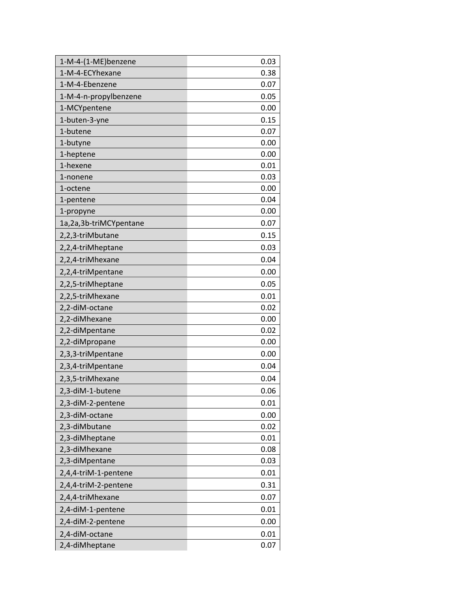| 1-M-4-(1-ME)benzene    | 0.03 |
|------------------------|------|
| 1-M-4-ECYhexane        | 0.38 |
| 1-M-4-Ebenzene         | 0.07 |
| 1-M-4-n-propylbenzene  | 0.05 |
| 1-MCYpentene           | 0.00 |
| 1-buten-3-yne          | 0.15 |
| 1-butene               | 0.07 |
| 1-butyne               | 0.00 |
| 1-heptene              | 0.00 |
| 1-hexene               | 0.01 |
| 1-nonene               | 0.03 |
| 1-octene               | 0.00 |
| 1-pentene              | 0.04 |
| 1-propyne              | 0.00 |
| 1a,2a,3b-triMCYpentane | 0.07 |
| 2,2,3-triMbutane       | 0.15 |
| 2,2,4-triMheptane      | 0.03 |
| 2,2,4-triMhexane       | 0.04 |
| 2,2,4-triMpentane      | 0.00 |
| 2,2,5-triMheptane      | 0.05 |
| 2,2,5-triMhexane       | 0.01 |
| 2,2-diM-octane         | 0.02 |
| 2,2-diMhexane          | 0.00 |
| 2,2-diMpentane         | 0.02 |
| 2,2-diMpropane         | 0.00 |
| 2,3,3-triMpentane      | 0.00 |
| 2,3,4-triMpentane      | 0.04 |
| 2,3,5-triMhexane       | 0.04 |
| 2,3-diM-1-butene       | 0.06 |
| 2,3-diM-2-pentene      | 0.01 |
| 2,3-diM-octane         | 0.00 |
| 2,3-diMbutane          | 0.02 |
| 2,3-diMheptane         | 0.01 |
| 2,3-diMhexane          | 0.08 |
| 2,3-diMpentane         | 0.03 |
| 2,4,4-triM-1-pentene   | 0.01 |
| 2,4,4-triM-2-pentene   | 0.31 |
| 2,4,4-triMhexane       | 0.07 |
| 2,4-diM-1-pentene      | 0.01 |
| 2,4-diM-2-pentene      | 0.00 |
| 2,4-diM-octane         | 0.01 |
| 2,4-diMheptane         | 0.07 |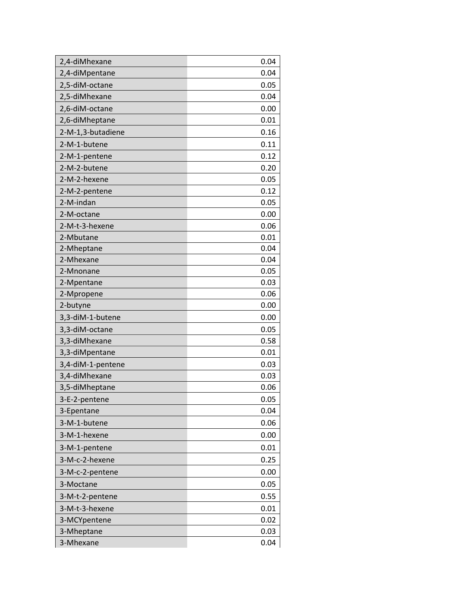| 2,4-diMhexane     | 0.04 |
|-------------------|------|
| 2,4-diMpentane    | 0.04 |
| 2,5-diM-octane    | 0.05 |
| 2,5-diMhexane     | 0.04 |
| 2,6-diM-octane    | 0.00 |
| 2,6-diMheptane    | 0.01 |
| 2-M-1,3-butadiene | 0.16 |
| 2-M-1-butene      | 0.11 |
| 2-M-1-pentene     | 0.12 |
| 2-M-2-butene      | 0.20 |
| 2-M-2-hexene      | 0.05 |
| 2-M-2-pentene     | 0.12 |
| 2-M-indan         | 0.05 |
| 2-M-octane        | 0.00 |
| 2-M-t-3-hexene    | 0.06 |
| 2-Mbutane         | 0.01 |
| 2-Mheptane        | 0.04 |
| 2-Mhexane         | 0.04 |
| 2-Mnonane         | 0.05 |
| 2-Mpentane        | 0.03 |
| 2-Mpropene        | 0.06 |
| 2-butyne          | 0.00 |
| 3,3-diM-1-butene  | 0.00 |
| 3,3-diM-octane    | 0.05 |
| 3,3-diMhexane     | 0.58 |
| 3,3-diMpentane    | 0.01 |
| 3,4-diM-1-pentene | 0.03 |
| 3,4-diMhexane     | 0.03 |
| 3,5-diMheptane    | 0.06 |
| 3-E-2-pentene     | 0.05 |
| 3-Epentane        | 0.04 |
| 3-M-1-butene      | 0.06 |
| 3-M-1-hexene      | 0.00 |
| 3-M-1-pentene     | 0.01 |
| 3-M-c-2-hexene    | 0.25 |
| 3-M-c-2-pentene   | 0.00 |
| 3-Moctane         | 0.05 |
| 3-M-t-2-pentene   | 0.55 |
| 3-M-t-3-hexene    | 0.01 |
| 3-MCYpentene      | 0.02 |
| 3-Mheptane        | 0.03 |
| 3-Mhexane         | 0.04 |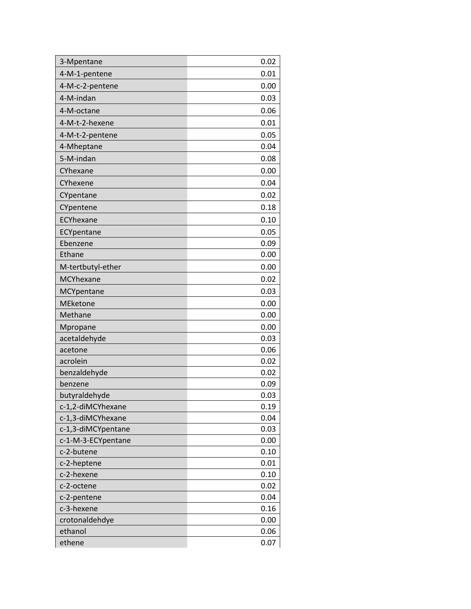| 3-Mpentane                | 0.02         |
|---------------------------|--------------|
| 4-M-1-pentene             | 0.01         |
| 4-M-c-2-pentene           | 0.00         |
| 4-M-indan                 | 0.03         |
| 4-M-octane                | 0.06         |
| 4-M-t-2-hexene            | 0.01         |
| 4-M-t-2-pentene           | 0.05         |
| 4-Mheptane                | 0.04         |
| 5-M-indan                 | 0.08         |
| CYhexane                  | 0.00         |
| CYhexene                  | 0.04         |
| CYpentane                 | 0.02         |
| CYpentene                 | 0.18         |
| ECYhexane                 | 0.10         |
| ECYpentane                | 0.05         |
| Ebenzene                  | 0.09         |
| Ethane                    | 0.00         |
| M-tertbutyl-ether         | 0.00         |
| MCYhexane                 | 0.02         |
| MCYpentane                | 0.03         |
| <b>MEketone</b>           | 0.00         |
| Methane                   | 0.00         |
| Mpropane                  | 0.00         |
| acetaldehyde              | 0.03         |
| acetone                   | 0.06         |
| acrolein                  | 0.02         |
| benzaldehyde              | 0.02         |
| benzene                   | 0.09         |
| butyraldehyde             | 0.03         |
| c-1,2-diMCYhexane         | 0.19         |
| c-1,3-diMCYhexane         | 0.04         |
| c-1,3-diMCYpentane        | 0.03         |
| c-1-M-3-ECYpentane        | 0.00         |
| c-2-butene                | 0.10         |
| c-2-heptene               | 0.01         |
| c-2-hexene                | 0.10         |
| c-2-octene                | 0.02         |
| c-2-pentene               | 0.04         |
| c-3-hexene                | 0.16         |
| crotonaldehdye<br>ethanol | 0.00<br>0.06 |
| ethene                    | 0.07         |
|                           |              |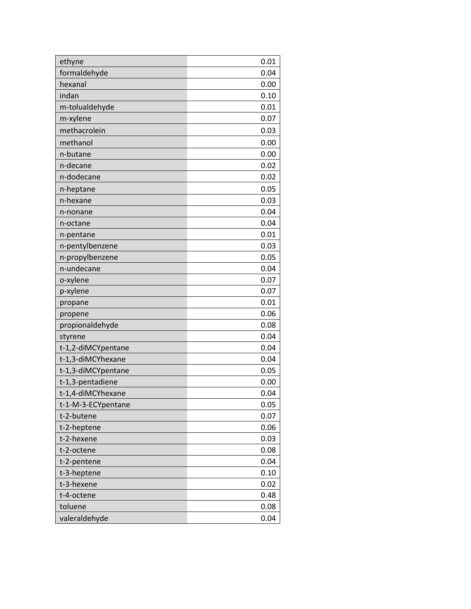| ethyne               | 0.01         |
|----------------------|--------------|
| formaldehyde         | 0.04         |
| hexanal              | 0.00         |
| indan                | 0.10         |
| m-tolualdehyde       | 0.01         |
| m-xylene             | 0.07         |
| methacrolein         | 0.03         |
|                      |              |
| methanol<br>n-butane | 0.00<br>0.00 |
| n-decane             | 0.02         |
| n-dodecane           | 0.02         |
|                      |              |
| n-heptane            | 0.05         |
| n-hexane             | 0.03         |
| n-nonane             | 0.04         |
| n-octane             | 0.04         |
| n-pentane            | 0.01         |
| n-pentylbenzene      | 0.03         |
| n-propylbenzene      | 0.05         |
| n-undecane           | 0.04         |
| o-xylene             | 0.07         |
| p-xylene             | 0.07         |
| propane              | 0.01         |
| propene              | 0.06         |
| propionaldehyde      | 0.08         |
| styrene              | 0.04         |
| t-1,2-diMCYpentane   | 0.04         |
| t-1,3-diMCYhexane    | 0.04         |
| t-1,3-diMCYpentane   | 0.05         |
| t-1,3-pentadiene     | 0.00         |
| t-1,4-diMCYhexane    | 0.04         |
| t-1-M-3-ECYpentane   | 0.05         |
| t-2-butene           | 0.07         |
| t-2-heptene          | 0.06         |
| t-2-hexene           | 0.03         |
| t-2-octene           | 0.08         |
| t-2-pentene          | 0.04         |
| t-3-heptene          | 0.10         |
| t-3-hexene           | 0.02         |
| t-4-octene           | 0.48         |
| toluene              | 0.08         |
| valeraldehyde        | 0.04         |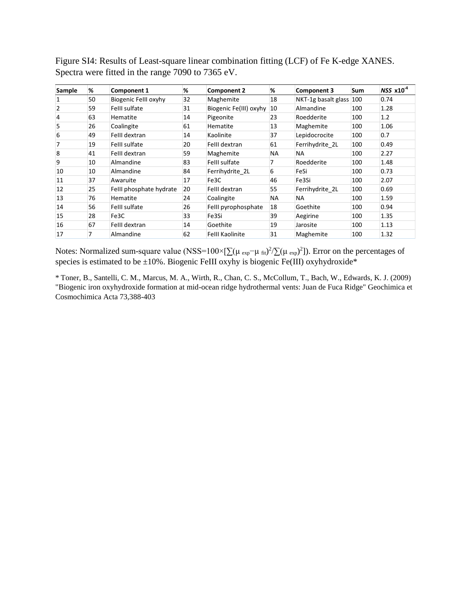Figure SI4: Results of Least-square linear combination fitting (LCF) of Fe K-edge XANES. Spectra were fitted in the range 7090 to 7365 eV.

| Sample         | %  | <b>Component 1</b>      | %  | Component 2            | %         | <b>Component 3</b>  | <b>Sum</b> | $NSS \times 10^{-4}$ |
|----------------|----|-------------------------|----|------------------------|-----------|---------------------|------------|----------------------|
| 1              | 50 | Biogenic Felll oxyhy    | 32 | Maghemite              | 18        | NKT-1g basalt glass | 100        | 0.74                 |
| $\overline{2}$ | 59 | Felll sulfate           | 31 | Biogenic Fe(III) oxyhy | 10        | Almandine           | 100        | 1.28                 |
| 4              | 63 | Hematite                | 14 | Pigeonite              | 23        | Roedderite          | 100        | 1.2                  |
| 5              | 26 | Coalingite              | 61 | Hematite               | 13        | Maghemite           | 100        | 1.06                 |
| 6              | 49 | Felll dextran           | 14 | Kaolinite              | 37        | Lepidocrocite       | 100        | 0.7                  |
| 7              | 19 | Felll sulfate           | 20 | Felll dextran          | 61        | Ferrihydrite 2L     | 100        | 0.49                 |
| 8              | 41 | Felll dextran           | 59 | Maghemite              | <b>NA</b> | <b>NA</b>           | 100        | 2.27                 |
| 9              | 10 | Almandine               | 83 | Felll sulfate          |           | Roedderite          | 100        | 1.48                 |
| 10             | 10 | Almandine               | 84 | Ferrihydrite 2L        | 6         | FeSi                | 100        | 0.73                 |
| 11             | 37 | Awaruite                | 17 | Fe3C                   | 46        | Fe3Si               | 100        | 2.07                 |
| 12             | 25 | Felll phosphate hydrate | 20 | Felll dextran          | 55        | Ferrihydrite 2L     | 100        | 0.69                 |
| 13             | 76 | Hematite                | 24 | Coalingite             | <b>NA</b> | <b>NA</b>           | 100        | 1.59                 |
| 14             | 56 | Felll sulfate           | 26 | Felll pyrophosphate    | 18        | Goethite            | 100        | 0.94                 |
| 15             | 28 | Fe3C                    | 33 | Fe3Si                  | 39        | Aegirine            | 100        | 1.35                 |
| 16             | 67 | Felll dextran           | 14 | Goethite               | 19        | Jarosite            | 100        | 1.13                 |
| 17             | 7  | Almandine               | 62 | <b>Felll Kaolinite</b> | 31        | Maghemite           | 100        | 1.32                 |

Notes: Normalized sum-square value (NSS=100×[ $\sum(\mu_{exp}-\mu_{fit})^2/\sum(\mu_{exp})^2$ ]). Error on the percentages of species is estimated to be  $\pm 10\%$ . Biogenic FeIII oxyhy is biogenic Fe(III) oxyhydroxide\*

\* Toner, B., Santelli, C. M., Marcus, M. A., Wirth, R., Chan, C. S., McCollum, T., Bach, W., Edwards, K. J. (2009) "Biogenic iron oxyhydroxide formation at mid-ocean ridge hydrothermal vents: Juan de Fuca Ridge" Geochimica et Cosmochimica Acta 73,388-403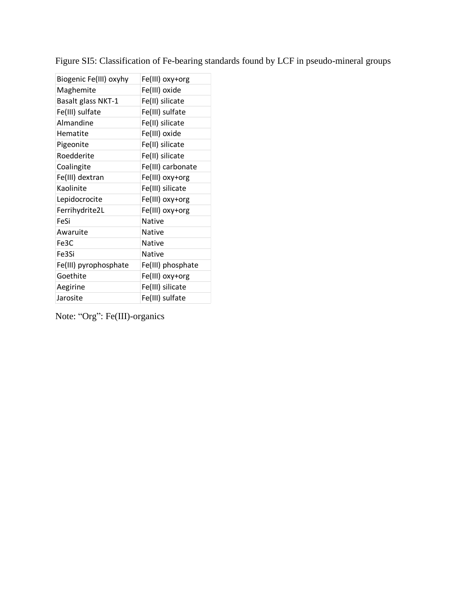| Biogenic Fe(III) oxyhy | Fe(III) oxy+org   |
|------------------------|-------------------|
| Maghemite              | Fe(III) oxide     |
| Basalt glass NKT-1     | Fe(II) silicate   |
| Fe(III) sulfate        | Fe(III) sulfate   |
| Almandine              | Fe(II) silicate   |
| Hematite               | Fe(III) oxide     |
| Pigeonite              | Fe(II) silicate   |
| Roedderite             | Fe(II) silicate   |
| Coalingite             | Fe(III) carbonate |
| Fe(III) dextran        | Fe(III) oxy+org   |
| Kaolinite              | Fe(III) silicate  |
| Lepidocrocite          | Fe(III) oxy+org   |
| Ferrihydrite2L         | Fe(III) oxy+org   |
| FeSi                   | Native            |
| Awaruite               | Native            |
| Fe3C                   | <b>Native</b>     |
| Fe3Si                  | <b>Native</b>     |
| Fe(III) pyrophosphate  | Fe(III) phosphate |
| Goethite               | Fe(III) oxy+org   |
| Aegirine               | Fe(III) silicate  |
| Jarosite               | Fe(III) sulfate   |

Figure SI5: Classification of Fe-bearing standards found by LCF in pseudo-mineral groups

Note: "Org": Fe(III)-organics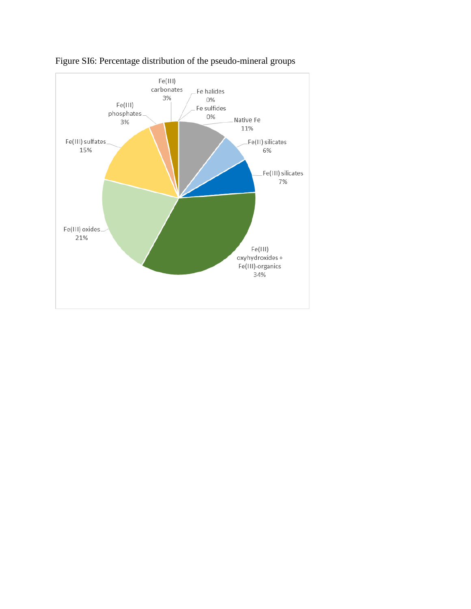

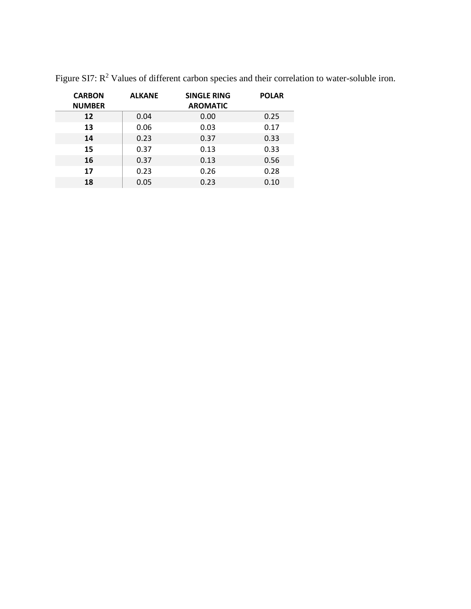| <b>CARBON</b><br><b>NUMBER</b> | <b>ALKANE</b> | <b>SINGLE RING</b><br><b>AROMATIC</b> | <b>POLAR</b> |
|--------------------------------|---------------|---------------------------------------|--------------|
| 12                             | 0.04          | 0.00                                  | 0.25         |
| 13                             | 0.06          | 0.03                                  | 0.17         |
| 14                             | 0.23          | 0.37                                  | 0.33         |
| 15                             | 0.37          | 0.13                                  | 0.33         |
| 16                             | 0.37          | 0.13                                  | 0.56         |
| 17                             | 0.23          | 0.26                                  | 0.28         |
| 18                             | 0.05          | 0.23                                  | 0.10         |

Figure SI7:  $R^2$  Values of different carbon species and their correlation to water-soluble iron.